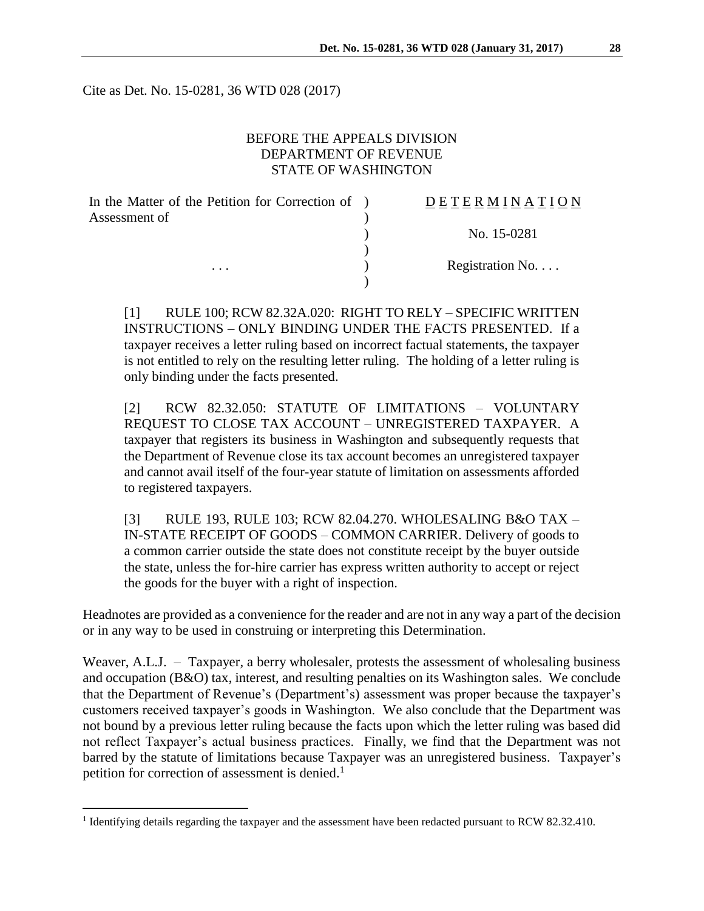Cite as Det. No. 15-0281, 36 WTD 028 (2017)

## BEFORE THE APPEALS DIVISION DEPARTMENT OF REVENUE STATE OF WASHINGTON

| In the Matter of the Petition for Correction of ) | DETERMINATION   |
|---------------------------------------------------|-----------------|
| Assessment of                                     |                 |
|                                                   | No. 15-0281     |
|                                                   |                 |
| $\cdots$                                          | Registration No |
|                                                   |                 |

[1] RULE 100; RCW 82.32A.020: RIGHT TO RELY – SPECIFIC WRITTEN INSTRUCTIONS – ONLY BINDING UNDER THE FACTS PRESENTED. If a taxpayer receives a letter ruling based on incorrect factual statements, the taxpayer is not entitled to rely on the resulting letter ruling. The holding of a letter ruling is only binding under the facts presented.

[2] RCW 82.32.050: STATUTE OF LIMITATIONS – VOLUNTARY REQUEST TO CLOSE TAX ACCOUNT – UNREGISTERED TAXPAYER. A taxpayer that registers its business in Washington and subsequently requests that the Department of Revenue close its tax account becomes an unregistered taxpayer and cannot avail itself of the four-year statute of limitation on assessments afforded to registered taxpayers.

[3] RULE 193, RULE 103; RCW 82.04.270. WHOLESALING B&O TAX – IN-STATE RECEIPT OF GOODS – COMMON CARRIER. Delivery of goods to a common carrier outside the state does not constitute receipt by the buyer outside the state, unless the for-hire carrier has express written authority to accept or reject the goods for the buyer with a right of inspection.

Headnotes are provided as a convenience for the reader and are not in any way a part of the decision or in any way to be used in construing or interpreting this Determination.

Weaver, A.L.J. – Taxpayer, a berry wholesaler, protests the assessment of wholesaling business and occupation (B&O) tax, interest, and resulting penalties on its Washington sales. We conclude that the Department of Revenue's (Department's) assessment was proper because the taxpayer's customers received taxpayer's goods in Washington. We also conclude that the Department was not bound by a previous letter ruling because the facts upon which the letter ruling was based did not reflect Taxpayer's actual business practices. Finally, we find that the Department was not barred by the statute of limitations because Taxpayer was an unregistered business. Taxpayer's petition for correction of assessment is denied.<sup>1</sup>

 $\overline{a}$ 

<sup>&</sup>lt;sup>1</sup> Identifying details regarding the taxpayer and the assessment have been redacted pursuant to RCW 82.32.410.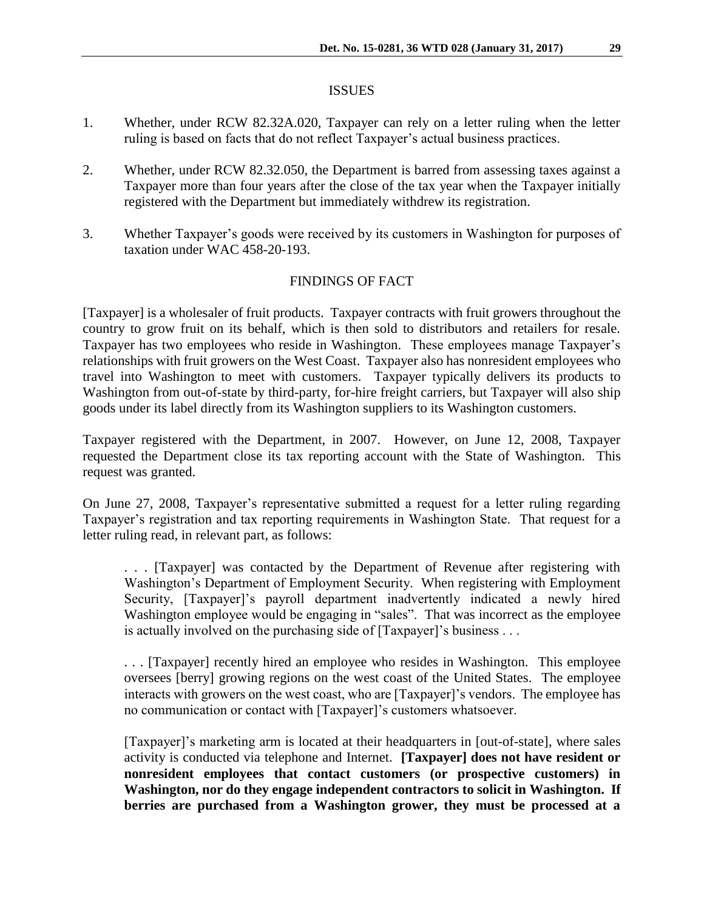#### **ISSUES**

- 1. Whether, under RCW 82.32A.020, Taxpayer can rely on a letter ruling when the letter ruling is based on facts that do not reflect Taxpayer's actual business practices.
- 2. Whether, under RCW 82.32.050, the Department is barred from assessing taxes against a Taxpayer more than four years after the close of the tax year when the Taxpayer initially registered with the Department but immediately withdrew its registration.
- 3. Whether Taxpayer's goods were received by its customers in Washington for purposes of taxation under WAC 458-20-193.

### FINDINGS OF FACT

[Taxpayer] is a wholesaler of fruit products. Taxpayer contracts with fruit growers throughout the country to grow fruit on its behalf, which is then sold to distributors and retailers for resale. Taxpayer has two employees who reside in Washington. These employees manage Taxpayer's relationships with fruit growers on the West Coast. Taxpayer also has nonresident employees who travel into Washington to meet with customers. Taxpayer typically delivers its products to Washington from out-of-state by third-party, for-hire freight carriers, but Taxpayer will also ship goods under its label directly from its Washington suppliers to its Washington customers.

Taxpayer registered with the Department, in 2007. However, on June 12, 2008, Taxpayer requested the Department close its tax reporting account with the State of Washington. This request was granted.

On June 27, 2008, Taxpayer's representative submitted a request for a letter ruling regarding Taxpayer's registration and tax reporting requirements in Washington State. That request for a letter ruling read, in relevant part, as follows:

. . . [Taxpayer] was contacted by the Department of Revenue after registering with Washington's Department of Employment Security. When registering with Employment Security, [Taxpayer]'s payroll department inadvertently indicated a newly hired Washington employee would be engaging in "sales". That was incorrect as the employee is actually involved on the purchasing side of [Taxpayer]'s business . . .

. . . [Taxpayer] recently hired an employee who resides in Washington. This employee oversees [berry] growing regions on the west coast of the United States. The employee interacts with growers on the west coast, who are [Taxpayer]'s vendors. The employee has no communication or contact with [Taxpayer]'s customers whatsoever.

[Taxpayer]'s marketing arm is located at their headquarters in [out-of-state], where sales activity is conducted via telephone and Internet. **[Taxpayer] does not have resident or nonresident employees that contact customers (or prospective customers) in Washington, nor do they engage independent contractors to solicit in Washington. If berries are purchased from a Washington grower, they must be processed at a**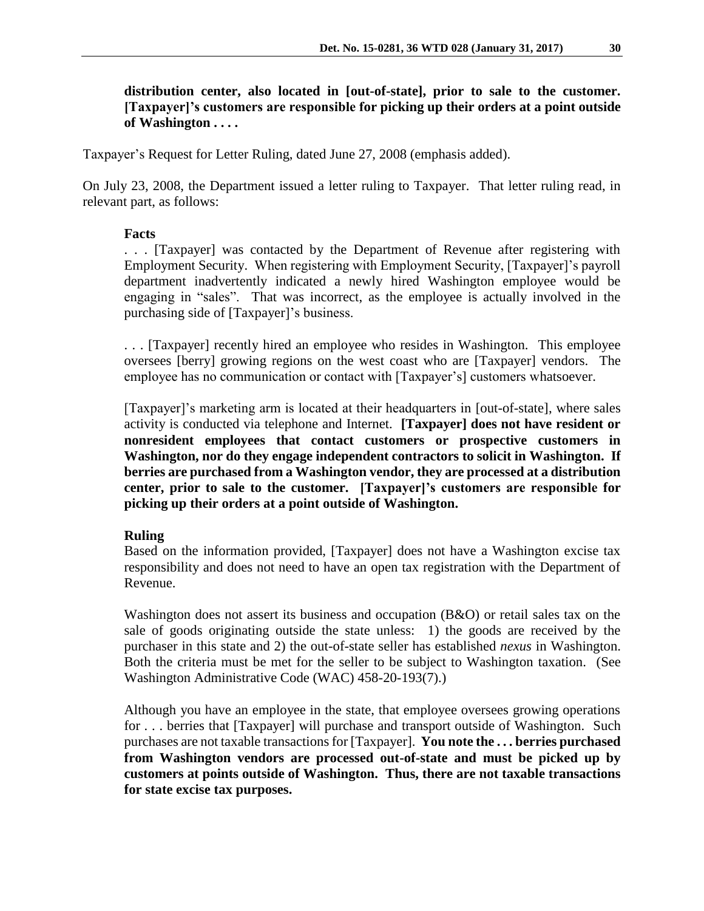**distribution center, also located in [out-of-state], prior to sale to the customer. [Taxpayer]'s customers are responsible for picking up their orders at a point outside of Washington . . . .**

Taxpayer's Request for Letter Ruling, dated June 27, 2008 (emphasis added).

On July 23, 2008, the Department issued a letter ruling to Taxpayer. That letter ruling read, in relevant part, as follows:

## **Facts**

. . . [Taxpayer] was contacted by the Department of Revenue after registering with Employment Security. When registering with Employment Security, [Taxpayer]'s payroll department inadvertently indicated a newly hired Washington employee would be engaging in "sales". That was incorrect, as the employee is actually involved in the purchasing side of [Taxpayer]'s business.

. . . [Taxpayer] recently hired an employee who resides in Washington. This employee oversees [berry] growing regions on the west coast who are [Taxpayer] vendors. The employee has no communication or contact with [Taxpayer's] customers whatsoever.

[Taxpayer]'s marketing arm is located at their headquarters in [out-of-state], where sales activity is conducted via telephone and Internet. **[Taxpayer] does not have resident or nonresident employees that contact customers or prospective customers in Washington, nor do they engage independent contractors to solicit in Washington. If berries are purchased from a Washington vendor, they are processed at a distribution center, prior to sale to the customer. [Taxpayer]'s customers are responsible for picking up their orders at a point outside of Washington.**

### **Ruling**

Based on the information provided, [Taxpayer] does not have a Washington excise tax responsibility and does not need to have an open tax registration with the Department of Revenue.

Washington does not assert its business and occupation (B&O) or retail sales tax on the sale of goods originating outside the state unless: 1) the goods are received by the purchaser in this state and 2) the out-of-state seller has established *nexus* in Washington. Both the criteria must be met for the seller to be subject to Washington taxation. (See Washington Administrative Code (WAC) 458-20-193(7).)

Although you have an employee in the state, that employee oversees growing operations for . . . berries that [Taxpayer] will purchase and transport outside of Washington. Such purchases are not taxable transactions for [Taxpayer]. **You note the . . . berries purchased from Washington vendors are processed out-of-state and must be picked up by customers at points outside of Washington. Thus, there are not taxable transactions for state excise tax purposes.**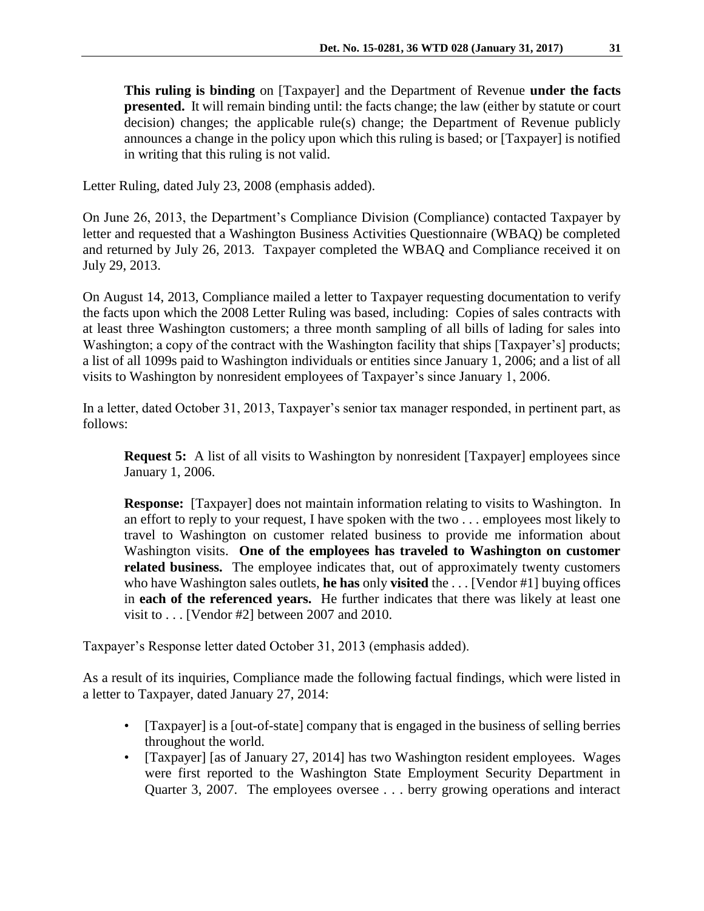**This ruling is binding** on [Taxpayer] and the Department of Revenue **under the facts presented.** It will remain binding until: the facts change; the law (either by statute or court decision) changes; the applicable rule(s) change; the Department of Revenue publicly announces a change in the policy upon which this ruling is based; or [Taxpayer] is notified in writing that this ruling is not valid.

Letter Ruling, dated July 23, 2008 (emphasis added).

On June 26, 2013, the Department's Compliance Division (Compliance) contacted Taxpayer by letter and requested that a Washington Business Activities Questionnaire (WBAQ) be completed and returned by July 26, 2013. Taxpayer completed the WBAQ and Compliance received it on July 29, 2013.

On August 14, 2013, Compliance mailed a letter to Taxpayer requesting documentation to verify the facts upon which the 2008 Letter Ruling was based, including: Copies of sales contracts with at least three Washington customers; a three month sampling of all bills of lading for sales into Washington; a copy of the contract with the Washington facility that ships [Taxpayer's] products; a list of all 1099s paid to Washington individuals or entities since January 1, 2006; and a list of all visits to Washington by nonresident employees of Taxpayer's since January 1, 2006.

In a letter, dated October 31, 2013, Taxpayer's senior tax manager responded, in pertinent part, as follows:

**Request 5:** A list of all visits to Washington by nonresident [Taxpayer] employees since January 1, 2006.

**Response:** [Taxpayer] does not maintain information relating to visits to Washington. In an effort to reply to your request, I have spoken with the two . . . employees most likely to travel to Washington on customer related business to provide me information about Washington visits. **One of the employees has traveled to Washington on customer**  related business. The employee indicates that, out of approximately twenty customers who have Washington sales outlets, **he has** only **visited** the . . . [Vendor #1] buying offices in **each of the referenced years.** He further indicates that there was likely at least one visit to . . . [Vendor #2] between 2007 and 2010.

Taxpayer's Response letter dated October 31, 2013 (emphasis added).

As a result of its inquiries, Compliance made the following factual findings, which were listed in a letter to Taxpayer, dated January 27, 2014:

- [Taxpayer] is a [out-of-state] company that is engaged in the business of selling berries throughout the world.
- [Taxpayer] [as of January 27, 2014] has two Washington resident employees. Wages were first reported to the Washington State Employment Security Department in Quarter 3, 2007. The employees oversee . . . berry growing operations and interact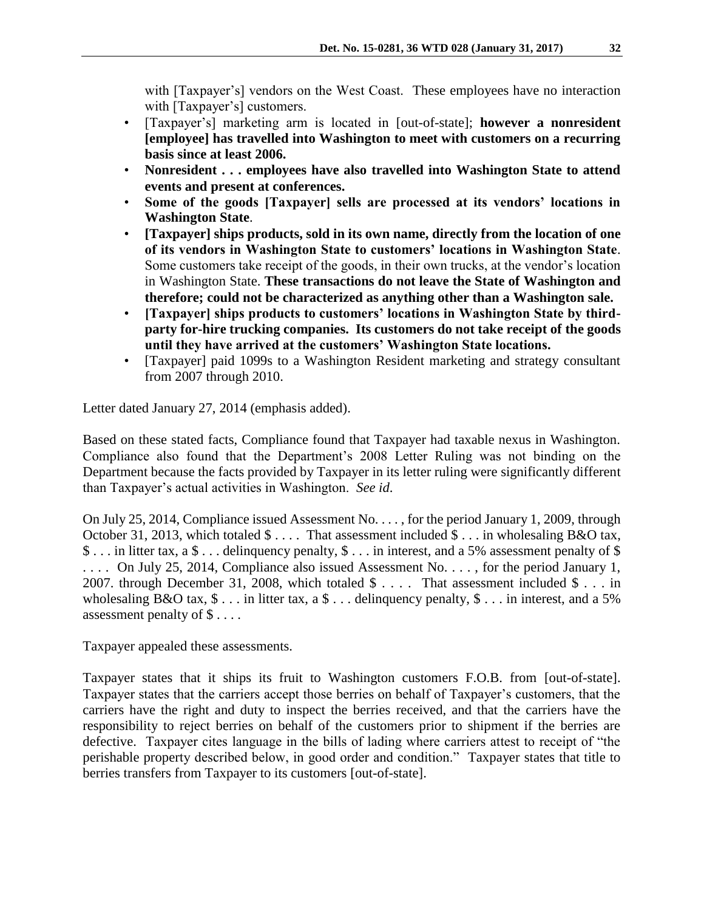with [Taxpayer's] vendors on the West Coast. These employees have no interaction with [Taxpayer's] customers.

- [Taxpayer's] marketing arm is located in [out-of-state]; **however a nonresident [employee] has travelled into Washington to meet with customers on a recurring basis since at least 2006.**
- **Nonresident . . . employees have also travelled into Washington State to attend events and present at conferences.**
- **Some of the goods [Taxpayer] sells are processed at its vendors' locations in Washington State**.
- **[Taxpayer] ships products, sold in its own name, directly from the location of one of its vendors in Washington State to customers' locations in Washington State**. Some customers take receipt of the goods, in their own trucks, at the vendor's location in Washington State. **These transactions do not leave the State of Washington and therefore; could not be characterized as anything other than a Washington sale.**
- **[Taxpayer] ships products to customers' locations in Washington State by thirdparty for-hire trucking companies. Its customers do not take receipt of the goods until they have arrived at the customers' Washington State locations.**
- [Taxpayer] paid 1099s to a Washington Resident marketing and strategy consultant from 2007 through 2010.

Letter dated January 27, 2014 (emphasis added).

Based on these stated facts, Compliance found that Taxpayer had taxable nexus in Washington. Compliance also found that the Department's 2008 Letter Ruling was not binding on the Department because the facts provided by Taxpayer in its letter ruling were significantly different than Taxpayer's actual activities in Washington. *See id*.

On July 25, 2014, Compliance issued Assessment No. . . . , for the period January 1, 2009, through October 31, 2013, which totaled \$ . . . . That assessment included \$ . . . in wholesaling B&O tax, \$ . . . in litter tax, a \$ . . . delinquency penalty, \$ . . . in interest, and a 5% assessment penalty of \$ .... On July 25, 2014, Compliance also issued Assessment No..., for the period January 1, 2007. through December 31, 2008, which totaled \$ . . . . That assessment included \$ . . . in wholesaling B&O tax,  $\$ \dots$  in litter tax, a  $\$ \dots$  delinguency penalty,  $\$ \dots$  in interest, and a 5% assessment penalty of \$ . . . .

Taxpayer appealed these assessments.

Taxpayer states that it ships its fruit to Washington customers F.O.B. from [out-of-state]. Taxpayer states that the carriers accept those berries on behalf of Taxpayer's customers, that the carriers have the right and duty to inspect the berries received, and that the carriers have the responsibility to reject berries on behalf of the customers prior to shipment if the berries are defective. Taxpayer cites language in the bills of lading where carriers attest to receipt of "the perishable property described below, in good order and condition." Taxpayer states that title to berries transfers from Taxpayer to its customers [out-of-state].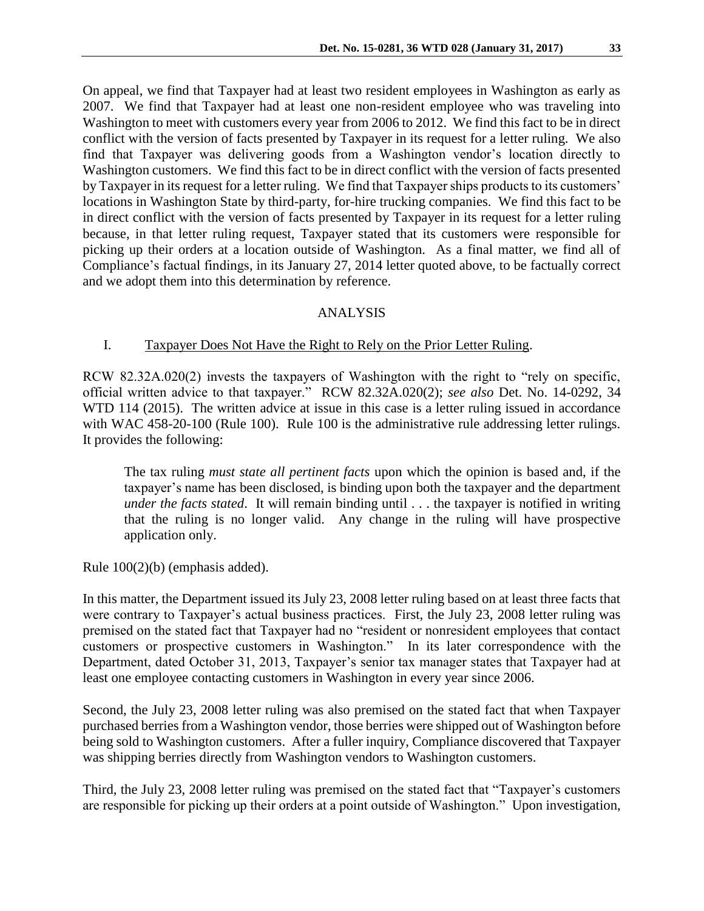On appeal, we find that Taxpayer had at least two resident employees in Washington as early as 2007. We find that Taxpayer had at least one non-resident employee who was traveling into Washington to meet with customers every year from 2006 to 2012. We find this fact to be in direct conflict with the version of facts presented by Taxpayer in its request for a letter ruling. We also find that Taxpayer was delivering goods from a Washington vendor's location directly to Washington customers. We find this fact to be in direct conflict with the version of facts presented by Taxpayer in its request for a letter ruling. We find that Taxpayer ships products to its customers' locations in Washington State by third-party, for-hire trucking companies. We find this fact to be in direct conflict with the version of facts presented by Taxpayer in its request for a letter ruling because, in that letter ruling request, Taxpayer stated that its customers were responsible for picking up their orders at a location outside of Washington. As a final matter, we find all of Compliance's factual findings, in its January 27, 2014 letter quoted above, to be factually correct and we adopt them into this determination by reference.

## ANALYSIS

## I. Taxpayer Does Not Have the Right to Rely on the Prior Letter Ruling.

RCW 82.32A.020(2) invests the taxpayers of Washington with the right to "rely on specific, official written advice to that taxpayer." RCW 82.32A.020(2); *see also* Det. No. 14-0292, 34 WTD 114 (2015). The written advice at issue in this case is a letter ruling issued in accordance with WAC 458-20-100 (Rule 100). Rule 100 is the administrative rule addressing letter rulings. It provides the following:

The tax ruling *must state all pertinent facts* upon which the opinion is based and, if the taxpayer's name has been disclosed, is binding upon both the taxpayer and the department *under the facts stated*. It will remain binding until . . . the taxpayer is notified in writing that the ruling is no longer valid. Any change in the ruling will have prospective application only.

Rule 100(2)(b) (emphasis added).

In this matter, the Department issued its July 23, 2008 letter ruling based on at least three facts that were contrary to Taxpayer's actual business practices. First, the July 23, 2008 letter ruling was premised on the stated fact that Taxpayer had no "resident or nonresident employees that contact customers or prospective customers in Washington." In its later correspondence with the Department, dated October 31, 2013, Taxpayer's senior tax manager states that Taxpayer had at least one employee contacting customers in Washington in every year since 2006.

Second, the July 23, 2008 letter ruling was also premised on the stated fact that when Taxpayer purchased berries from a Washington vendor, those berries were shipped out of Washington before being sold to Washington customers. After a fuller inquiry, Compliance discovered that Taxpayer was shipping berries directly from Washington vendors to Washington customers.

Third, the July 23, 2008 letter ruling was premised on the stated fact that "Taxpayer's customers are responsible for picking up their orders at a point outside of Washington." Upon investigation,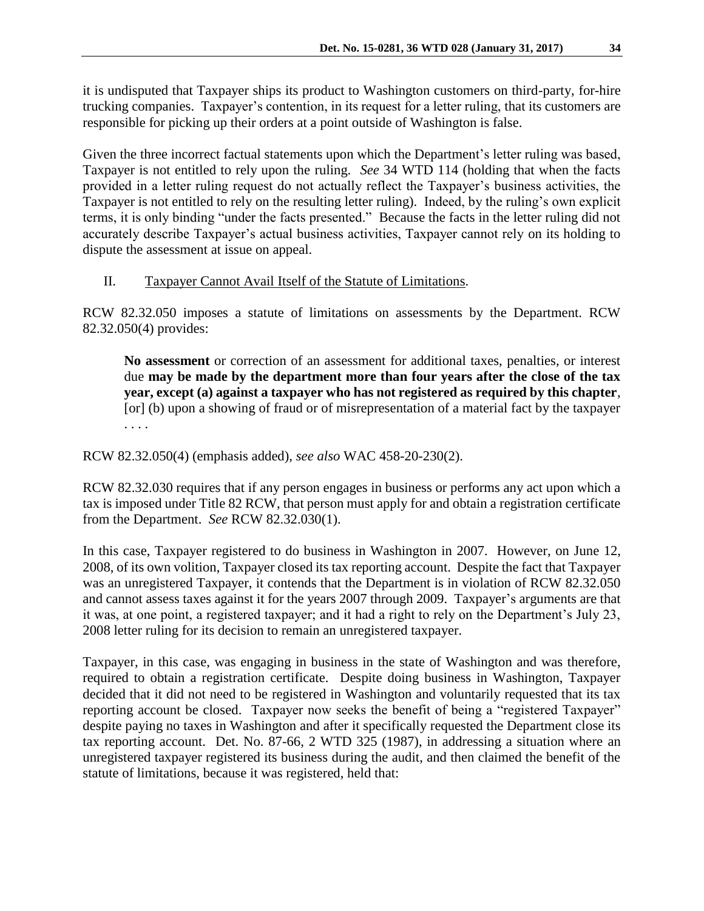it is undisputed that Taxpayer ships its product to Washington customers on third-party, for-hire trucking companies. Taxpayer's contention, in its request for a letter ruling, that its customers are responsible for picking up their orders at a point outside of Washington is false.

Given the three incorrect factual statements upon which the Department's letter ruling was based, Taxpayer is not entitled to rely upon the ruling. *See* 34 WTD 114 (holding that when the facts provided in a letter ruling request do not actually reflect the Taxpayer's business activities, the Taxpayer is not entitled to rely on the resulting letter ruling). Indeed, by the ruling's own explicit terms, it is only binding "under the facts presented." Because the facts in the letter ruling did not accurately describe Taxpayer's actual business activities, Taxpayer cannot rely on its holding to dispute the assessment at issue on appeal.

# II. Taxpayer Cannot Avail Itself of the Statute of Limitations.

RCW 82.32.050 imposes a statute of limitations on assessments by the Department. RCW 82.32.050(4) provides:

**No assessment** or correction of an assessment for additional taxes, penalties, or interest due **may be made by the department more than four years after the close of the tax year, except (a) against a taxpayer who has not registered as required by this chapter**, [or] (b) upon a showing of fraud or of misrepresentation of a material fact by the taxpayer . . . .

RCW 82.32.050(4) (emphasis added), *see also* WAC 458-20-230(2).

RCW 82.32.030 requires that if any person engages in business or performs any act upon which a tax is imposed under Title 82 RCW, that person must apply for and obtain a registration certificate from the Department. *See* RCW 82.32.030(1).

In this case, Taxpayer registered to do business in Washington in 2007. However, on June 12, 2008, of its own volition, Taxpayer closed its tax reporting account. Despite the fact that Taxpayer was an unregistered Taxpayer, it contends that the Department is in violation of RCW 82.32.050 and cannot assess taxes against it for the years 2007 through 2009. Taxpayer's arguments are that it was, at one point, a registered taxpayer; and it had a right to rely on the Department's July 23, 2008 letter ruling for its decision to remain an unregistered taxpayer.

Taxpayer, in this case, was engaging in business in the state of Washington and was therefore, required to obtain a registration certificate. Despite doing business in Washington, Taxpayer decided that it did not need to be registered in Washington and voluntarily requested that its tax reporting account be closed. Taxpayer now seeks the benefit of being a "registered Taxpayer" despite paying no taxes in Washington and after it specifically requested the Department close its tax reporting account. Det. No. 87-66, 2 WTD 325 (1987), in addressing a situation where an unregistered taxpayer registered its business during the audit, and then claimed the benefit of the statute of limitations, because it was registered, held that: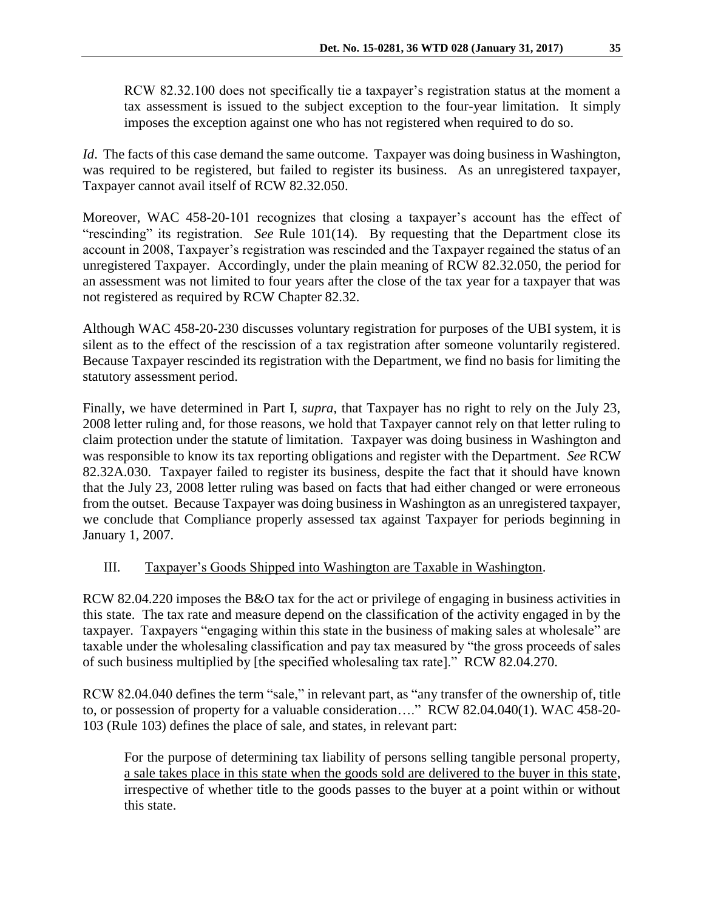RCW 82.32.100 does not specifically tie a taxpayer's registration status at the moment a tax assessment is issued to the subject exception to the four-year limitation. It simply imposes the exception against one who has not registered when required to do so.

*Id*. The facts of this case demand the same outcome. Taxpayer was doing business in Washington, was required to be registered, but failed to register its business. As an unregistered taxpayer, Taxpayer cannot avail itself of RCW 82.32.050.

Moreover, WAC 458-20-101 recognizes that closing a taxpayer's account has the effect of "rescinding" its registration. *See* Rule 101(14). By requesting that the Department close its account in 2008, Taxpayer's registration was rescinded and the Taxpayer regained the status of an unregistered Taxpayer. Accordingly, under the plain meaning of RCW 82.32.050, the period for an assessment was not limited to four years after the close of the tax year for a taxpayer that was not registered as required by RCW Chapter 82.32.

Although WAC 458-20-230 discusses voluntary registration for purposes of the UBI system, it is silent as to the effect of the rescission of a tax registration after someone voluntarily registered. Because Taxpayer rescinded its registration with the Department, we find no basis for limiting the statutory assessment period.

Finally, we have determined in Part I, *supra*, that Taxpayer has no right to rely on the July 23, 2008 letter ruling and, for those reasons, we hold that Taxpayer cannot rely on that letter ruling to claim protection under the statute of limitation. Taxpayer was doing business in Washington and was responsible to know its tax reporting obligations and register with the Department. *See* RCW 82.32A.030. Taxpayer failed to register its business, despite the fact that it should have known that the July 23, 2008 letter ruling was based on facts that had either changed or were erroneous from the outset. Because Taxpayer was doing business in Washington as an unregistered taxpayer, we conclude that Compliance properly assessed tax against Taxpayer for periods beginning in January 1, 2007.

# III. Taxpayer's Goods Shipped into Washington are Taxable in Washington.

RCW 82.04.220 imposes the B&O tax for the act or privilege of engaging in business activities in this state. The tax rate and measure depend on the classification of the activity engaged in by the taxpayer. Taxpayers "engaging within this state in the business of making sales at wholesale" are taxable under the wholesaling classification and pay tax measured by "the gross proceeds of sales of such business multiplied by [the specified wholesaling tax rate]." RCW 82.04.270.

RCW 82.04.040 defines the term "sale," in relevant part, as "any transfer of the ownership of, title to, or possession of property for a valuable consideration…." RCW 82.04.040(1). WAC 458-20- 103 (Rule 103) defines the place of sale, and states, in relevant part:

For the purpose of determining tax liability of persons selling tangible personal property, a sale takes place in this state when the goods sold are delivered to the buyer in this state, irrespective of whether title to the goods passes to the buyer at a point within or without this state.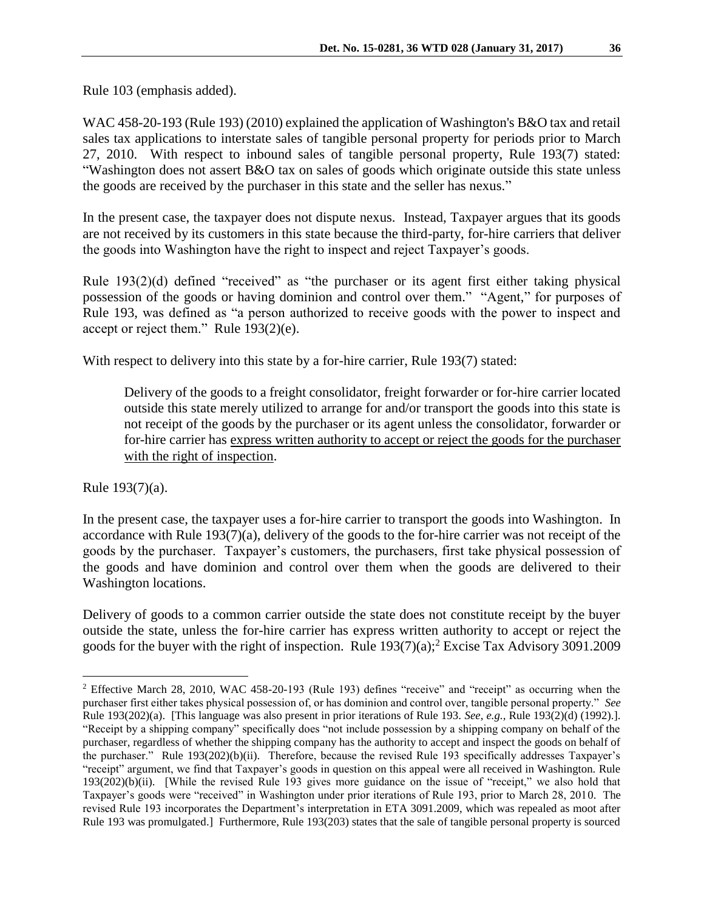Rule 103 (emphasis added).

WAC 458-20-193 (Rule 193) (2010) explained the application of Washington's B&O tax and retail sales tax applications to interstate sales of tangible personal property for periods prior to March 27, 2010. With respect to inbound sales of tangible personal property, Rule 193(7) stated: "Washington does not assert B&O tax on sales of goods which originate outside this state unless the goods are received by the purchaser in this state and the seller has nexus."

In the present case, the taxpayer does not dispute nexus. Instead, Taxpayer argues that its goods are not received by its customers in this state because the third-party, for-hire carriers that deliver the goods into Washington have the right to inspect and reject Taxpayer's goods.

Rule 193(2)(d) defined "received" as "the purchaser or its agent first either taking physical possession of the goods or having dominion and control over them." "Agent," for purposes of Rule 193, was defined as "a person authorized to receive goods with the power to inspect and accept or reject them." Rule 193(2)(e).

With respect to delivery into this state by a for-hire carrier, Rule 193(7) stated:

Delivery of the goods to a freight consolidator, freight forwarder or for-hire carrier located outside this state merely utilized to arrange for and/or transport the goods into this state is not receipt of the goods by the purchaser or its agent unless the consolidator, forwarder or for-hire carrier has express written authority to accept or reject the goods for the purchaser with the right of inspection.

Rule 193(7)(a).

 $\overline{a}$ 

In the present case, the taxpayer uses a for-hire carrier to transport the goods into Washington. In accordance with Rule 193(7)(a), delivery of the goods to the for-hire carrier was not receipt of the goods by the purchaser. Taxpayer's customers, the purchasers, first take physical possession of the goods and have dominion and control over them when the goods are delivered to their Washington locations.

Delivery of goods to a common carrier outside the state does not constitute receipt by the buyer outside the state, unless the for-hire carrier has express written authority to accept or reject the goods for the buyer with the right of inspection. Rule 193(7)(a); <sup>2</sup> Excise Tax Advisory 3091.2009

<sup>2</sup> Effective March 28, 2010, WAC 458-20-193 (Rule 193) defines "receive" and "receipt" as occurring when the purchaser first either takes physical possession of, or has dominion and control over, tangible personal property." *See* Rule 193(202)(a). [This language was also present in prior iterations of Rule 193. *See, e.g.,* Rule 193(2)(d) (1992).]. "Receipt by a shipping company" specifically does "not include possession by a shipping company on behalf of the purchaser, regardless of whether the shipping company has the authority to accept and inspect the goods on behalf of the purchaser." Rule 193(202)(b)(ii). Therefore, because the revised Rule 193 specifically addresses Taxpayer's "receipt" argument, we find that Taxpayer's goods in question on this appeal were all received in Washington. Rule 193(202)(b)(ii). [While the revised Rule 193 gives more guidance on the issue of "receipt," we also hold that Taxpayer's goods were "received" in Washington under prior iterations of Rule 193, prior to March 28, 2010. The revised Rule 193 incorporates the Department's interpretation in ETA 3091.2009, which was repealed as moot after Rule 193 was promulgated.] Furthermore, Rule 193(203) states that the sale of tangible personal property is sourced